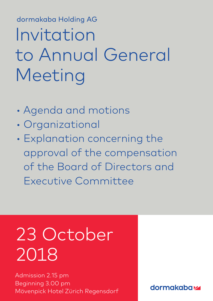dormakaba Holding AG dormakaba Holding AG Invitation to Annual General **Meeting** 

- Agenda and motions
- Organizational
- Explanation concerning the approval of the compensation of the Board of Directors and Executive Committee

# 23 October 2018

Admission 2.15 pm Beginning 3.00 pm Mövenpick Hotel Zürich Regensdorf

**dormakabazz**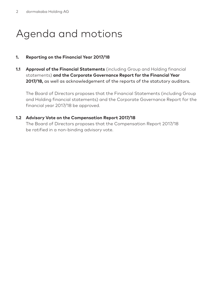# Agenda and motions

### **1. Reporting on the Financial Year 2017/18**

**1.1 Approval of the Financial Statements** (including Group and Holding financial statements) **and the Corporate Governance Report for the Financial Year 2017/18,** as well as acknowledgement of the reports of the statutory auditors.

The Board of Directors proposes that the Financial Statements (including Group and Holding financial statements) and the Corporate Governance Report for the financial year 2017/18 be approved.

#### **1.2 Advisory Vote on the Compensation Report 2017/18**

The Board of Directors proposes that the Compensation Report 2017/18 be ratified in a non-binding advisory vote.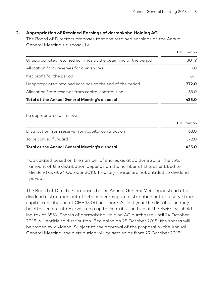### **2. Appropriation of Retained Earnings of dormakaba Holding AG**

The Board of Directors proposes that the retained earnings at the Annual General Meeting's disposal, i.e.

|                                                                 | CHF million |
|-----------------------------------------------------------------|-------------|
| Unappropriated retained earnings at the beginning of the period | 3019        |
| Allocation from reserves for own shares                         | 9.0         |
| Net profit for the period                                       | 61.1        |
| Unappropriated retained earnings at the end of the period       | 372.0       |
| Allocation from reserves from capital contribution              | 63.0        |
| <b>Total at the Annual General Meeting's disposal</b>           | 435.0       |

be appropriated as follows:

|                                                      | <b>CHF</b> million |
|------------------------------------------------------|--------------------|
| Distribution from reserve from capital contribution* | 63 O               |
| To be carried forward                                | 372 O              |
| Total at the Annual General Meeting's disposal       | 435.0              |

\* Calculated based on the number of shares as at 30 June 2018. The total amount of the distribution depends on the number of shares entitled to dividend as at 24 October 2018. Treasury shares are not entitled to dividend payout.

The Board of Directors proposes to the Annual General Meeting, instead of a dividend distribution out of retained earnings, a distribution out of reserve from capital contribution of CHF 15.00 per share. As last year the distribution may be effected out of reserve from capital contribution free of the Swiss withholding tax of 35 %. Shares of dormakaba Holding AG purchased until 24 October 2018 will entitle to distribution. Beginning on 25 October 2018, the shares will be traded ex-dividend. Subject to the approval of the proposal by the Annual General Meeting, the distribution will be settled as from 29 October 2018.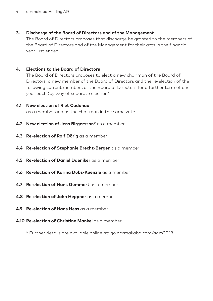### **3. Discharge of the Board of Directors and of the Management**

The Board of Directors proposes that discharge be granted to the members of the Board of Directors and of the Management for their acts in the financial year just ended.

#### **4. Elections to the Board of Directors**

The Board of Directors proposes to elect a new chairman of the Board of Directors, a new member of the Board of Directors and the re-election of the following current members of the Board of Directors for a further term of one year each (by way of separate election):

#### **4.1 New election of Riet Cadonau**

as a member and as the chairman in the same vote

- **4.2 New election of Jens Birgersson\*** as a member
- **4.3 Re-election of Rolf Dörig** as a member
- **4.4 Re-election of Stephanie Brecht-Bergen** as a member
- **4.5 Re-election of Daniel Daeniker** as a member
- **4.6 Re-election of Karina Dubs-Kuenzle** as a member
- **4.7 Re-election of Hans Gummert** as a member
- **4.8 Re-election of John Heppner** as a member
- **4.9 Re-election of Hans Hess** as a member
- **4.10 Re-election of Christine Mankel** as a member

\* Further details are available online at: go.dormakaba.com/agm2018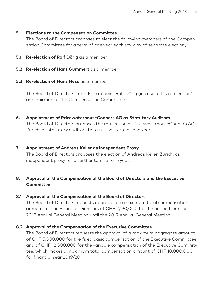#### **5. Elections to the Compensation Committee**

The Board of Directors proposes to elect the following members of the Compensation Committee for a term of one year each (by way of separate election):

- **5.1 Re-election of Rolf Dörig** as a member
- **5.2 Re-election of Hans Gummert** as a member
- **5.3 Re-election of Hans Hess** as a member

The Board of Directors intends to appoint Rolf Dörig (in case of his re-election) as Chairman of the Compensation Committee.

**6. Appointment of PricewaterhouseCoopers AG as Statutory Auditors**

The Board of Directors proposes the re-election of PricewaterhouseCoopers AG, Zurich, as statutory auditors for a further term of one year.

### **7. Appointment of Andreas Keller as Independent Proxy**

The Board of Directors proposes the election of Andreas Keller, Zurich, as independent proxy for a further term of one year.

# **8. Approval of the Compensation of the Board of Directors and the Executive Committee**

# **8.1 Approval of the Compensation of the Board of Directors**

The Board of Directors requests approval of a maximum total compensation amount for the Board of Directors of CHF 2,190,000 for the period from the 2018 Annual General Meeting until the 2019 Annual General Meeting.

# **8.2 Approval of the Compensation of the Executive Committee**

The Board of Directors requests the approval of a maximum aggregate amount of CHF 5,500,000 for the fixed basic compensation of the Executive Committee and of CHF 12,500,000 for the variable compensation of the Executive Committee, which makes a maximum total compensation amount of CHF 18,000,000 for financial year 2019/20.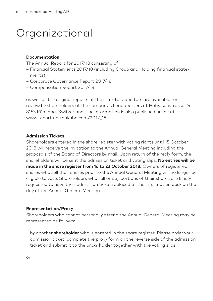# Organizational

#### **Documentation**

The Annual Report for 2017/18 consisting of

- Financial Statements 2017/18 (including Group and Holding financial statements)
- Corporate Governance Report 2017/18
- Compensation Report 2017/18

as well as the original reports of the statutory auditors are available for review by shareholders at the company's headquarters at Hofwisenstrasse 24, 8153 Rümlang, Switzerland. The information is also published online at www.report.dormakaba.com/2017\_18.

#### **Admission Tickets**

Shareholders entered in the share register with voting rights until 15 October 2018 will receive the invitation to the Annual General Meeting including the proposals of the Board of Directors by mail. Upon return of the reply form, the shareholders will be sent the admission ticket and voting slips. **No entries will be made in the share register from 16 to 23 October 2018.** Owners of registered shares who sell their shares prior to the Annual General Meeting will no longer be eligible to vote. Shareholders who sell or buy portions of their shares are kindly requested to have their admission ticket replaced at the information desk on the day of the Annual General Meeting.

#### **Representation/Proxy**

Shareholders who cannot personally attend the Annual General Meeting may be represented as follows:

– by another **shareholder** who is entered in the share register: Please order your admission ticket, complete the proxy form on the reverse side of the admission ticket and submit it to the proxy holder together with the voting slips,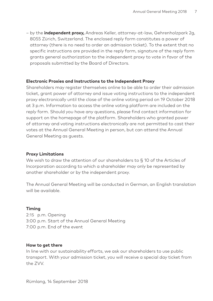– by the **independent proxy,** Andreas Keller, attorney-at-law, Gehrenholzpark 2g, 8055 Zürich, Switzerland. The enclosed reply form constitutes a power of attorney (there is no need to order an admission ticket). To the extent that no specific instructions are provided in the reply form, signature of the reply form grants general authorization to the independent proxy to vote in favor of the proposals submitted by the Board of Directors.

#### **Electronic Proxies and Instructions to the Independent Proxy**

Shareholders may register themselves online to be able to order their admission ticket, grant power of attorney and issue voting instructions to the independent proxy electronically until the close of the online voting period on 19 October 2018 at 3 p.m. Information to access the online voting platform are included on the reply form. Should you have any questions, please find contact information for support on the homepage of the platform. Shareholders who granted power of attorney and voting instructions electronically are not permitted to cast their votes at the Annual General Meeting in person, but can attend the Annual General Meeting as guests.

#### **Proxy Limitations**

We wish to draw the attention of our shareholders to § 10 of the Articles of Incorporation according to which a shareholder may only be represented by another shareholder or by the independent proxy.

The Annual General Meeting will be conducted in German, an English translation will be available.

#### **Timing**

2:15 p.m. Opening 3:00 p.m. Start of the Annual General Meeting 7:00 p.m. End of the event

#### **How to get there**

In line with our sustainability efforts, we ask our shareholders to use public transport. With your admission ticket, you will receive a special day ticket from the ZVV.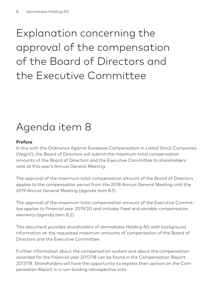# Explanation concerning the approval of the compensation of the Board of Directors and the Executive Committee

# Agenda item 8

# **Preface**

In line with the Ordinance Against Excessive Compensation in Listed Stock Companies (VegüV), the Board of Directors will submit the maximum total compensation amounts of the Board of Directors and the Executive Committee to shareholders' vote at this year's Annual General Meeting.

The approval of the maximum total compensation amount of the Board of Directors applies to the compensation period from the 2018 Annual General Meeting until the 2019 Annual General Meeting (agenda item 8.1).

The approval of the maximum total compensation amount of the Executive Committee applies to financial year 2019/20 and includes fixed and variable compensation elements (agenda item 8.2).

This document provides shareholders of dormakaba Holding AG with background information on the requested maximum amounts of compensation of the Board of Directors and the Executive Committee.

Further information about the compensation system and about the compensation awarded for the financial year 2017/18 can be found in the Compensation Report 2017/18. Shareholders will have the opportunity to express their opinion on the Compensation Report in a non-binding retrospective vote.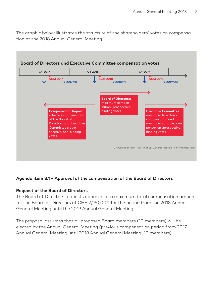The graphic below illustrates the structure of the shareholders' votes on compensation at the 2018 Annual General Meeting.



# **Agenda item 8.1 – Approval of the compensation of the Board of Directors**

#### **Request of the Board of Directors**

The Board of Directors requests approval of a maximum total compensation amount for the Board of Directors of CHF 2,190,000 for the period from the 2018 Annual General Meeting until the 2019 Annual General Meeting.

The proposal assumes that all proposed Board members (10 members) will be elected by the Annual General Meeting (previous compensation period from 2017 Annual General Meeting until 2018 Annual General Meeting: 10 members).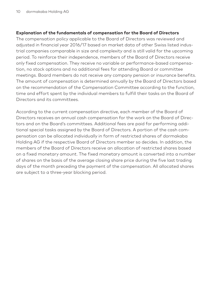#### **Explanation of the fundamentals of compensation for the Board of Directors**

The compensation policy applicable to the Board of Directors was reviewed and adjusted in financial year 2016/17 based on market data of other Swiss listed industrial companies comparable in size and complexity and is still valid for the upcoming period. To reinforce their independence, members of the Board of Directors receive only fixed compensation. They receive no variable or performance-based compensation, no stock options and no additional fees for attending Board or committee meetings. Board members do not receive any company pension or insurance benefits. The amount of compensation is determined annually by the Board of Directors based on the recommendation of the Compensation Committee according to the function, time and effort spent by the individual members to fulfill their tasks on the Board of Directors and its committees.

According to the current compensation directive, each member of the Board of Directors receives an annual cash compensation for the work on the Board of Directors and on the Board's committees. Additional fees are paid for performing additional special tasks assigned by the Board of Directors. A portion of the cash compensation can be allocated individually in form of restricted shares of dormakaba Holding AG if the respective Board of Directors member so decides. In addition, the members of the Board of Directors receive an allocation of restricted shares based on a fixed monetary amount. The fixed monetary amount is converted into a number of shares on the basis of the average closing share price during the five last trading days of the month preceding the payment of the compensation. All allocated shares are subject to a three-year blocking period.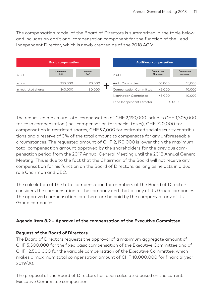The compensation model of the Board of Directors is summarized in the table below and includes an additional compensation component for the function of the Lead Independent Director, which is newly created as of the 2018 AGM.

| <b>Basic compensation</b> |                        | <b>Additional compensation</b> |                               |                       |                     |
|---------------------------|------------------------|--------------------------------|-------------------------------|-----------------------|---------------------|
| in CHF                    | Chairman<br><b>BoD</b> | Member<br><b>BoD</b>           | in CHF                        | Committee<br>Chairman | Committee<br>member |
| In cash                   | 330,000                | 90,000                         | Audit Committee               | 60,000                | 15,000              |
| In restricted shares      | 240.000                | 80,000                         | <b>Compensation Committee</b> | 45.000                | 10,000              |
|                           |                        |                                | Nomination Committee          | 45.000                | 10,000              |
|                           |                        |                                | Lead Independent Director     | 30,000                |                     |

The requested maximum total compensation of CHF 2,190,000 includes CHF 1,305,000 for cash compensation (incl. compensation for special tasks), CHF 720,000 for compensation in restricted shares, CHF 97,000 for estimated social security contributions and a reserve of 3 % of the total amount to compensate for any unforeseeable circumstances. The requested amount of CHF 2,190,000 is lower than the maximum total compensation amount approved by the shareholders for the previous compensation period from the 2017 Annual General Meeting until the 2018 Annual General Meeting. This is due to the fact that the Chairman of the Board will not receive any compensation for his function on the Board of Directors, as long as he acts in a dual role Chairman and CEO.

The calculation of the total compensation for members of the Board of Directors considers the compensation of the company and that of any of its Group companies. The approved compensation can therefore be paid by the company or any of its Group companies.

# **Agenda item 8.2 – Approval of the compensation of the Executive Committee**

# **Request of the Board of Directors**

The Board of Directors requests the approval of a maximum aggregate amount of CHF 5,500,000 for the fixed basic compensation of the Executive Committee and of CHF 12,500,000 for the variable compensation of the Executive Committee, which makes a maximum total compensation amount of CHF 18,000,000 for financial year 2019/20.

The proposal of the Board of Directors has been calculated based on the current Executive Committee composition.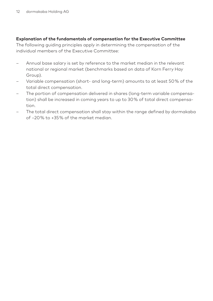### **Explanation of the fundamentals of compensation for the Executive Committee**

The following guiding principles apply in determining the compensation of the individual members of the Executive Committee:

- Annual base salary is set by reference to the market median in the relevant national or regional market (benchmarks based on data of Korn Ferry Hay Group).
- Variable compensation (short- and long-term) amounts to at least 50 % of the total direct compensation.
- The portion of compensation delivered in shares (long-term variable compensation) shall be increased in coming years to up to 30 % of total direct compensation.
- The total direct compensation shall stay within the range defined by dormakaba of –20 % to +35 % of the market median.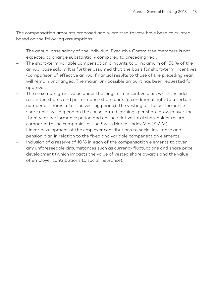The compensation amounts proposed and submitted to vote have been calculated based on the following assumptions:

- The annual base salary of the individual Executive Committee members is not expected to change substantially compared to preceding year.
- The short-term variable compensation amounts to a maximum of 150 % of the annual base salary. It is further assumed that the basis for short-term incentives (comparison of effective annual financial results to those of the preceding year) will remain unchanged. The maximum possible amount has been requested for approval.
- The maximum grant value under the long-term incentive plan, which includes restricted shares and performance share units (a conditional right to a certain number of shares after the vesting period). The vesting of the performance share units will depend on the consolidated earnings per share growth over the three-year performance period and on the relative total shareholder return compared to the companies of the Swiss Market Index Mid (SMIM).
- Linear development of the employer contributions to social insurance and pension plan in relation to the fixed and variable compensation elements.
- Inclusion of a reserve of 10 % in each of the compensation elements to cover any unforeseeable circumstances such as currency fluctuations and share price development (which impacts the value of vested share awards and the value of employer contributions to social insurance).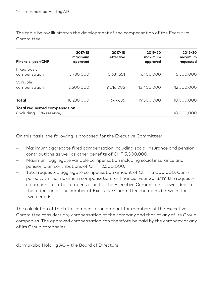The table below illustrates the development of the compensation of the Executive Committee:

| <b>Financial year/CHF</b>                                      | 2017/18<br>maximum<br>approved | 2017/18<br>effective | 2019/20<br>maximum<br>approved | 2019/20<br>maximum<br>requested |
|----------------------------------------------------------------|--------------------------------|----------------------|--------------------------------|---------------------------------|
| Fixed basic<br>compensation                                    | 5,730,000                      | 5,631,551            | 6,100,000                      | 5,500,000                       |
| Variable<br>compensation                                       | 12,500,000                     | 9,016,085            | 13,400,000                     | 12,500,000                      |
| Total                                                          | 18,230,000                     | 14,647,636           | 19,500,000                     | 18,000,000                      |
| <b>Total requested compensation</b><br>(including 10% reserve) |                                |                      |                                | 18,000,000                      |

On this basis, the following is proposed for the Executive Committee:

- Maximum aggregate fixed compensation including social insurance and pension contributions as well as other benefits of CHF 5,500,000.
- Maximum aggregate variable compensation including social insurance and pension plan contributions of CHF 12,500,000.
- Total requested aggregate compensation amount of CHF 18,000,000. Compared with the maximum compensation for financial year 2018/19, the requested amount of total compensation for the Executive Committee is lower due to the reduction of the number of Executive Committee members between the two periods.

The calculation of the total compensation amount for members of the Executive Committee considers any compensation of the company and that of any of its Group companies. The approved compensation can therefore be paid by the company or any of its Group companies.

dormakaba Holding AG – the Board of Directors